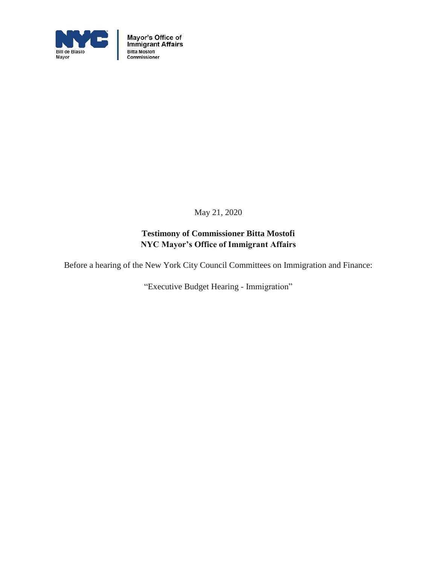

Mayor's Office of<br>Immigrant Affairs<br>Bitta Mostofi<br>Commissioner

May 21, 2020

# **Testimony of Commissioner Bitta Mostofi NYC Mayor's Office of Immigrant Affairs**

Before a hearing of the New York City Council Committees on Immigration and Finance:

"Executive Budget Hearing - Immigration"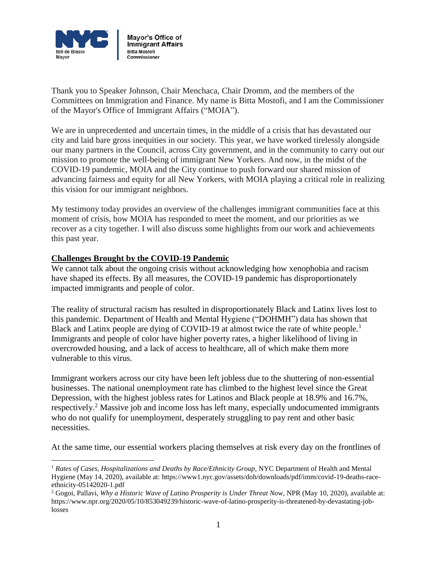

Thank you to Speaker Johnson, Chair Menchaca, Chair Dromm, and the members of the Committees on Immigration and Finance. My name is Bitta Mostofi, and I am the Commissioner of the Mayor's Office of Immigrant Affairs ("MOIA").

We are in unprecedented and uncertain times, in the middle of a crisis that has devastated our city and laid bare gross inequities in our society. This year, we have worked tirelessly alongside our many partners in the Council, across City government, and in the community to carry out our mission to promote the well-being of immigrant New Yorkers. And now, in the midst of the COVID-19 pandemic, MOIA and the City continue to push forward our shared mission of advancing fairness and equity for all New Yorkers, with MOIA playing a critical role in realizing this vision for our immigrant neighbors.

My testimony today provides an overview of the challenges immigrant communities face at this moment of crisis, how MOIA has responded to meet the moment, and our priorities as we recover as a city together. I will also discuss some highlights from our work and achievements this past year.

### **Challenges Brought by the COVID-19 Pandemic**

l

We cannot talk about the ongoing crisis without acknowledging how xenophobia and racism have shaped its effects. By all measures, the COVID-19 pandemic has disproportionately impacted immigrants and people of color.

The reality of structural racism has resulted in disproportionately Black and Latinx lives lost to this pandemic. Department of Health and Mental Hygiene ("DOHMH") data has shown that Black and Latinx people are dying of COVID-19 at almost twice the rate of white people.<sup>1</sup> Immigrants and people of color have higher poverty rates, a higher likelihood of living in overcrowded housing, and a lack of access to healthcare, all of which make them more vulnerable to this virus.

Immigrant workers across our city have been left jobless due to the shuttering of non-essential businesses. The national unemployment rate has climbed to the highest level since the Great Depression, with the highest jobless rates for Latinos and Black people at 18.9% and 16.7%, respectively.<sup>2</sup> Massive job and income loss has left many, especially undocumented immigrants who do not qualify for unemployment, desperately struggling to pay rent and other basic necessities.

At the same time, our essential workers placing themselves at risk every day on the frontlines of

<sup>&</sup>lt;sup>1</sup> Rates of Cases, Hospitalizations and Deaths by Race/Ethnicity Group, NYC Department of Health and Mental Hygiene (May 14, 2020), available at: https://www1.nyc.gov/assets/doh/downloads/pdf/imm/covid-19-deaths-raceethnicity-05142020-1.pdf

<sup>2</sup> Gogoi, Pallavi, *Why a Historic Wave of Latino Prosperity is Under Threat Now*, NPR (May 10, 2020), available at: https://www.npr.org/2020/05/10/853049239/historic-wave-of-latino-prosperity-is-threatened-by-devastating-joblosses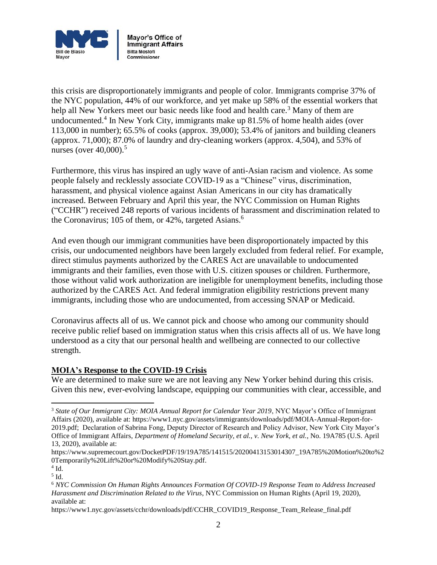

this crisis are disproportionately immigrants and people of color. Immigrants comprise 37% of the NYC population, 44% of our workforce, and yet make up 58% of the essential workers that help all New Yorkers meet our basic needs like food and health care.<sup>3</sup> Many of them are undocumented.<sup>4</sup> In New York City, immigrants make up 81.5% of home health aides (over 113,000 in number); 65.5% of cooks (approx. 39,000); 53.4% of janitors and building cleaners (approx. 71,000); 87.0% of laundry and dry-cleaning workers (approx. 4,504), and 53% of nurses (over 40,000).<sup>5</sup>

Furthermore, this virus has inspired an ugly wave of anti-Asian racism and violence. As some people falsely and recklessly associate COVID-19 as a "Chinese" virus, discrimination, harassment, and physical violence against Asian Americans in our city has dramatically increased. Between February and April this year, the NYC Commission on Human Rights ("CCHR") received 248 reports of various incidents of harassment and discrimination related to the Coronavirus; 105 of them, or  $42\%$ , targeted Asians.<sup>6</sup>

And even though our immigrant communities have been disproportionately impacted by this crisis, our undocumented neighbors have been largely excluded from federal relief. For example, direct stimulus payments authorized by the CARES Act are unavailable to undocumented immigrants and their families, even those with U.S. citizen spouses or children. Furthermore, those without valid work authorization are ineligible for unemployment benefits, including those authorized by the CARES Act. And federal immigration eligibility restrictions prevent many immigrants, including those who are undocumented, from accessing SNAP or Medicaid.

Coronavirus affects all of us. We cannot pick and choose who among our community should receive public relief based on immigration status when this crisis affects all of us. We have long understood as a city that our personal health and wellbeing are connected to our collective strength.

### **MOIA's Response to the COVID-19 Crisis**

We are determined to make sure we are not leaving any New Yorker behind during this crisis. Given this new, ever-evolving landscape, equipping our communities with clear, accessible, and

 $\overline{\phantom{a}}$ 

<sup>3</sup> *State of Our Immigrant City: MOIA Annual Report for Calendar Year 2019*, NYC Mayor's Office of Immigrant Affairs (2020), available at: https://www1.nyc.gov/assets/immigrants/downloads/pdf/MOIA-Annual-Report-for-2019.pdf; Declaration of Sabrina Fong, Deputy Director of Research and Policy Advisor, New York City Mayor's Office of Immigrant Affairs, *Department of Homeland Security, et al., v. New York, et al.*, No. 19A785 (U.S. April 13, 2020), available at:

https://www.supremecourt.gov/DocketPDF/19/19A785/141515/20200413153014307\_19A785%20Motion%20to%2 0Temporarily%20Lift%20or%20Modify%20Stay.pdf.

 $4$  Id.

<sup>5</sup> Id.

<sup>6</sup> *NYC Commission On Human Rights Announces Formation Of COVID-19 Response Team to Address Increased Harassment and Discrimination Related to the Virus*, NYC Commission on Human Rights (April 19, 2020), available at:

https://www1.nyc.gov/assets/cchr/downloads/pdf/CCHR\_COVID19\_Response\_Team\_Release\_final.pdf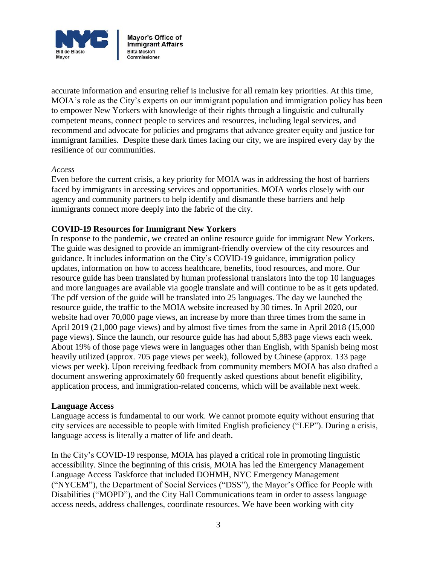

accurate information and ensuring relief is inclusive for all remain key priorities. At this time, MOIA's role as the City's experts on our immigrant population and immigration policy has been to empower New Yorkers with knowledge of their rights through a linguistic and culturally competent means, connect people to services and resources, including legal services, and recommend and advocate for policies and programs that advance greater equity and justice for immigrant families. Despite these dark times facing our city, we are inspired every day by the resilience of our communities.

#### *Access*

Even before the current crisis, a key priority for MOIA was in addressing the host of barriers faced by immigrants in accessing services and opportunities. MOIA works closely with our agency and community partners to help identify and dismantle these barriers and help immigrants connect more deeply into the fabric of the city.

### **COVID-19 Resources for Immigrant New Yorkers**

In response to the pandemic, we created an online resource guide for immigrant New Yorkers. The guide was designed to provide an immigrant-friendly overview of the city resources and guidance. It includes information on the City's COVID-19 guidance, immigration policy updates, information on how to access healthcare, benefits, food resources, and more. Our resource guide has been translated by human professional translators into the top 10 languages and more languages are available via google translate and will continue to be as it gets updated. The pdf version of the guide will be translated into 25 languages. The day we launched the resource guide, the traffic to the MOIA website increased by 30 times. In April 2020, our website had over 70,000 page views, an increase by more than three times from the same in April 2019 (21,000 page views) and by almost five times from the same in April 2018 (15,000 page views). Since the launch, our resource guide has had about 5,883 page views each week. About 19% of those page views were in languages other than English, with Spanish being most heavily utilized (approx. 705 page views per week), followed by Chinese (approx. 133 page views per week). Upon receiving feedback from community members MOIA has also drafted a document answering approximately 60 frequently asked questions about benefit eligibility, application process, and immigration-related concerns, which will be available next week.

### **Language Access**

Language access is fundamental to our work. We cannot promote equity without ensuring that city services are accessible to people with limited English proficiency ("LEP"). During a crisis, language access is literally a matter of life and death.

In the City's COVID-19 response, MOIA has played a critical role in promoting linguistic accessibility. Since the beginning of this crisis, MOIA has led the Emergency Management Language Access Taskforce that included DOHMH, NYC Emergency Management ("NYCEM"), the Department of Social Services ("DSS"), the Mayor's Office for People with Disabilities ("MOPD"), and the City Hall Communications team in order to assess language access needs, address challenges, coordinate resources. We have been working with city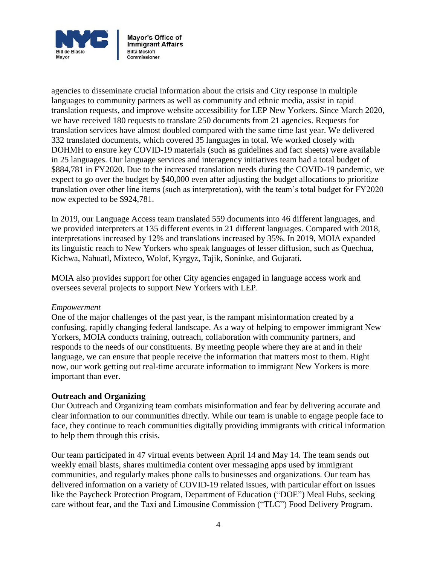

agencies to disseminate crucial information about the crisis and City response in multiple languages to community partners as well as community and ethnic media, assist in rapid translation requests, and improve website accessibility for LEP New Yorkers. Since March 2020, we have received 180 requests to translate 250 documents from 21 agencies. Requests for translation services have almost doubled compared with the same time last year. We delivered 332 translated documents, which covered 35 languages in total. We worked closely with DOHMH to ensure key COVID-19 materials (such as guidelines and fact sheets) were available in 25 languages. Our language services and interagency initiatives team had a total budget of \$884,781 in FY2020. Due to the increased translation needs during the COVID-19 pandemic, we expect to go over the budget by \$40,000 even after adjusting the budget allocations to prioritize translation over other line items (such as interpretation), with the team's total budget for FY2020 now expected to be \$924,781.

In 2019, our Language Access team translated 559 documents into 46 different languages, and we provided interpreters at 135 different events in 21 different languages. Compared with 2018, interpretations increased by 12% and translations increased by 35%. In 2019, MOIA expanded its linguistic reach to New Yorkers who speak languages of lesser diffusion, such as Quechua, Kichwa, Nahuatl, Mixteco, Wolof, Kyrgyz, Tajik, Soninke, and Gujarati.

MOIA also provides support for other City agencies engaged in language access work and oversees several projects to support New Yorkers with LEP.

### *Empowerment*

One of the major challenges of the past year, is the rampant misinformation created by a confusing, rapidly changing federal landscape. As a way of helping to empower immigrant New Yorkers, MOIA conducts training, outreach, collaboration with community partners, and responds to the needs of our constituents. By meeting people where they are at and in their language, we can ensure that people receive the information that matters most to them. Right now, our work getting out real-time accurate information to immigrant New Yorkers is more important than ever.

### **Outreach and Organizing**

Our Outreach and Organizing team combats misinformation and fear by delivering accurate and clear information to our communities directly. While our team is unable to engage people face to face, they continue to reach communities digitally providing immigrants with critical information to help them through this crisis.

Our team participated in 47 virtual events between April 14 and May 14. The team sends out weekly email blasts, shares multimedia content over messaging apps used by immigrant communities, and regularly makes phone calls to businesses and organizations. Our team has delivered information on a variety of COVID-19 related issues, with particular effort on issues like the Paycheck Protection Program, Department of Education ("DOE") Meal Hubs, seeking care without fear, and the Taxi and Limousine Commission ("TLC") Food Delivery Program.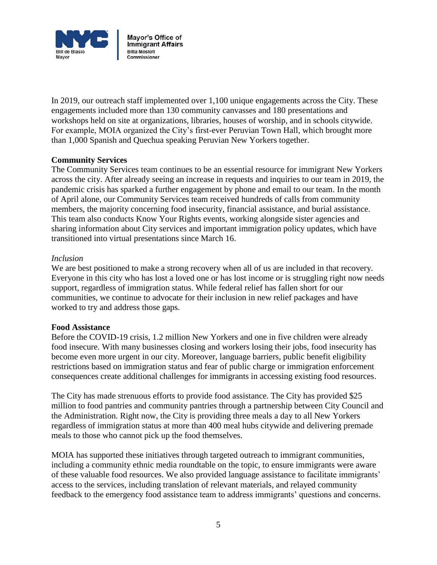

In 2019, our outreach staff implemented over 1,100 unique engagements across the City. These engagements included more than 130 community canvasses and 180 presentations and workshops held on site at organizations, libraries, houses of worship, and in schools citywide. For example, MOIA organized the City's first-ever Peruvian Town Hall, which brought more than 1,000 Spanish and Quechua speaking Peruvian New Yorkers together.

### **Community Services**

The Community Services team continues to be an essential resource for immigrant New Yorkers across the city. After already seeing an increase in requests and inquiries to our team in 2019, the pandemic crisis has sparked a further engagement by phone and email to our team. In the month of April alone, our Community Services team received hundreds of calls from community members, the majority concerning food insecurity, financial assistance, and burial assistance. This team also conducts Know Your Rights events, working alongside sister agencies and sharing information about City services and important immigration policy updates, which have transitioned into virtual presentations since March 16.

### *Inclusion*

We are best positioned to make a strong recovery when all of us are included in that recovery. Everyone in this city who has lost a loved one or has lost income or is struggling right now needs support, regardless of immigration status. While federal relief has fallen short for our communities, we continue to advocate for their inclusion in new relief packages and have worked to try and address those gaps.

### **Food Assistance**

Before the COVID-19 crisis, 1.2 million New Yorkers and one in five children were already food insecure. With many businesses closing and workers losing their jobs, food insecurity has become even more urgent in our city. Moreover, language barriers, public benefit eligibility restrictions based on immigration status and fear of public charge or immigration enforcement consequences create additional challenges for immigrants in accessing existing food resources.

The City has made strenuous efforts to provide food assistance. The City has provided \$25 million to food pantries and community pantries through a partnership between City Council and the Administration. Right now, the City is providing three meals a day to all New Yorkers regardless of immigration status at more than 400 meal hubs citywide and delivering premade meals to those who cannot pick up the food themselves.

MOIA has supported these initiatives through targeted outreach to immigrant communities, including a community ethnic media roundtable on the topic, to ensure immigrants were aware of these valuable food resources. We also provided language assistance to facilitate immigrants' access to the services, including translation of relevant materials, and relayed community feedback to the emergency food assistance team to address immigrants' questions and concerns.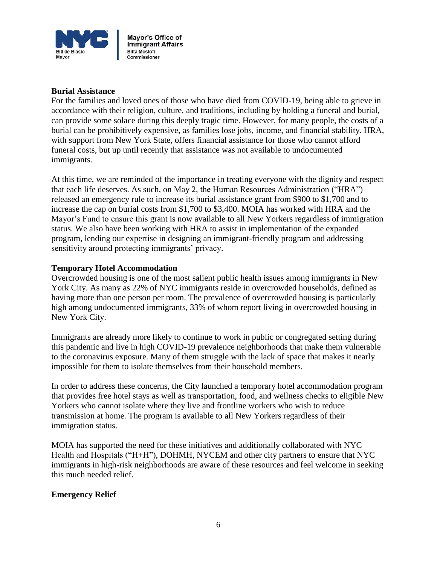

### **Burial Assistance**

For the families and loved ones of those who have died from COVID-19, being able to grieve in accordance with their religion, culture, and traditions, including by holding a funeral and burial, can provide some solace during this deeply tragic time. However, for many people, the costs of a burial can be prohibitively expensive, as families lose jobs, income, and financial stability. HRA, with support from New York State, offers financial assistance for those who cannot afford funeral costs, but up until recently that assistance was not available to undocumented immigrants.

At this time, we are reminded of the importance in treating everyone with the dignity and respect that each life deserves. As such, on May 2, the Human Resources Administration ("HRA") released an emergency rule to increase its burial assistance grant from \$900 to \$1,700 and to increase the cap on burial costs from \$1,700 to \$3,400. MOIA has worked with HRA and the Mayor's Fund to ensure this grant is now available to all New Yorkers regardless of immigration status. We also have been working with HRA to assist in implementation of the expanded program, lending our expertise in designing an immigrant-friendly program and addressing sensitivity around protecting immigrants' privacy.

### **Temporary Hotel Accommodation**

Overcrowded housing is one of the most salient public health issues among immigrants in New York City. As many as 22% of NYC immigrants reside in overcrowded households, defined as having more than one person per room. The prevalence of overcrowded housing is particularly high among undocumented immigrants, 33% of whom report living in overcrowded housing in New York City.

Immigrants are already more likely to continue to work in public or congregated setting during this pandemic and live in high COVID-19 prevalence neighborhoods that make them vulnerable to the coronavirus exposure. Many of them struggle with the lack of space that makes it nearly impossible for them to isolate themselves from their household members.

In order to address these concerns, the City launched a temporary hotel accommodation program that provides free hotel stays as well as transportation, food, and wellness checks to eligible New Yorkers who cannot isolate where they live and frontline workers who wish to reduce transmission at home. The program is available to all New Yorkers regardless of their immigration status.

MOIA has supported the need for these initiatives and additionally collaborated with NYC Health and Hospitals ("H+H"), DOHMH, NYCEM and other city partners to ensure that NYC immigrants in high-risk neighborhoods are aware of these resources and feel welcome in seeking this much needed relief.

# **Emergency Relief**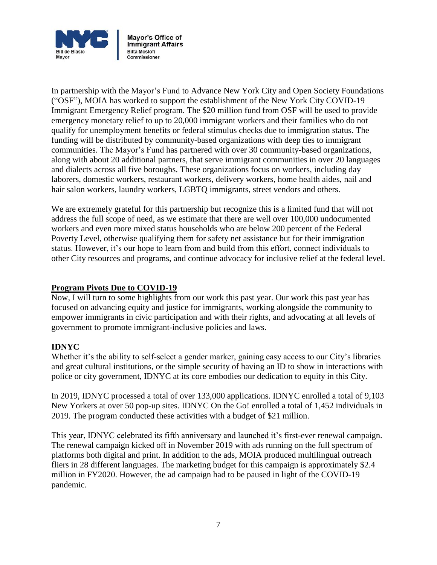

In partnership with the Mayor's Fund to Advance New York City and Open Society Foundations ("OSF"), MOIA has worked to support the establishment of the New York City COVID-19 Immigrant Emergency Relief program. The \$20 million fund from OSF will be used to provide emergency monetary relief to up to 20,000 immigrant workers and their families who do not qualify for unemployment benefits or federal stimulus checks due to immigration status. The funding will be distributed by community-based organizations with deep ties to immigrant communities. The Mayor's Fund has partnered with over 30 community-based organizations, along with about 20 additional partners, that serve immigrant communities in over 20 languages and dialects across all five boroughs. These organizations focus on workers, including day laborers, domestic workers, restaurant workers, delivery workers, home health aides, nail and hair salon workers, laundry workers, LGBTQ immigrants, street vendors and others.

We are extremely grateful for this partnership but recognize this is a limited fund that will not address the full scope of need, as we estimate that there are well over 100,000 undocumented workers and even more mixed status households who are below 200 percent of the Federal Poverty Level, otherwise qualifying them for safety net assistance but for their immigration status. However, it's our hope to learn from and build from this effort, connect individuals to other City resources and programs, and continue advocacy for inclusive relief at the federal level.

# **Program Pivots Due to COVID-19**

Now, I will turn to some highlights from our work this past year. Our work this past year has focused on advancing equity and justice for immigrants, working alongside the community to empower immigrants in civic participation and with their rights, and advocating at all levels of government to promote immigrant-inclusive policies and laws.

# **IDNYC**

Whether it's the ability to self-select a gender marker, gaining easy access to our City's libraries and great cultural institutions, or the simple security of having an ID to show in interactions with police or city government, IDNYC at its core embodies our dedication to equity in this City.

In 2019, IDNYC processed a total of over 133,000 applications. IDNYC enrolled a total of 9,103 New Yorkers at over 50 pop-up sites. IDNYC On the Go! enrolled a total of 1,452 individuals in 2019. The program conducted these activities with a budget of \$21 million.

This year, IDNYC celebrated its fifth anniversary and launched it's first-ever renewal campaign. The renewal campaign kicked off in November 2019 with ads running on the full spectrum of platforms both digital and print. In addition to the ads, MOIA produced multilingual outreach fliers in 28 different languages. The marketing budget for this campaign is approximately \$2.4 million in FY2020. However, the ad campaign had to be paused in light of the COVID-19 pandemic.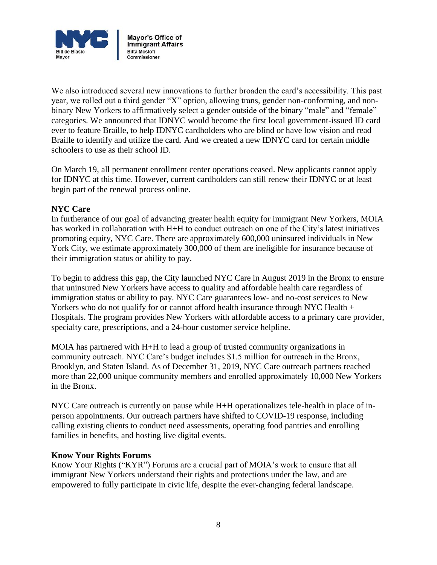

We also introduced several new innovations to further broaden the card's accessibility. This past year, we rolled out a third gender "X" option, allowing trans, gender non-conforming, and nonbinary New Yorkers to affirmatively select a gender outside of the binary "male" and "female" categories. We announced that IDNYC would become the first local government-issued ID card ever to feature Braille, to help IDNYC cardholders who are blind or have low vision and read Braille to identify and utilize the card. And we created a new IDNYC card for certain middle schoolers to use as their school ID.

On March 19, all permanent enrollment center operations ceased. New applicants cannot apply for IDNYC at this time. However, current cardholders can still renew their IDNYC or at least begin part of the renewal process online.

# **NYC Care**

In furtherance of our goal of advancing greater health equity for immigrant New Yorkers, MOIA has worked in collaboration with H+H to conduct outreach on one of the City's latest initiatives promoting equity, NYC Care. There are approximately 600,000 uninsured individuals in New York City, we estimate approximately 300,000 of them are ineligible for insurance because of their immigration status or ability to pay.

To begin to address this gap, the City launched NYC Care in August 2019 in the Bronx to ensure that uninsured New Yorkers have access to quality and affordable health care regardless of immigration status or ability to pay. NYC Care guarantees low- and no-cost services to New Yorkers who do not qualify for or cannot afford health insurance through NYC Health + Hospitals. The program provides New Yorkers with affordable access to a primary care provider, specialty care, prescriptions, and a 24-hour customer service helpline.

MOIA has partnered with H+H to lead a group of trusted community organizations in community outreach. NYC Care's budget includes \$1.5 million for outreach in the Bronx, Brooklyn, and Staten Island. As of December 31, 2019, NYC Care outreach partners reached more than 22,000 unique community members and enrolled approximately 10,000 New Yorkers in the Bronx.

NYC Care outreach is currently on pause while H+H operationalizes tele-health in place of inperson appointments. Our outreach partners have shifted to COVID-19 response, including calling existing clients to conduct need assessments, operating food pantries and enrolling families in benefits, and hosting live digital events.

### **Know Your Rights Forums**

Know Your Rights ("KYR") Forums are a crucial part of MOIA's work to ensure that all immigrant New Yorkers understand their rights and protections under the law, and are empowered to fully participate in civic life, despite the ever-changing federal landscape.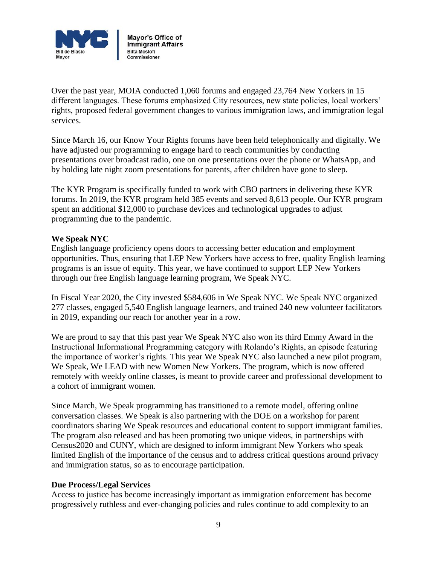

Over the past year, MOIA conducted 1,060 forums and engaged 23,764 New Yorkers in 15 different languages. These forums emphasized City resources, new state policies, local workers' rights, proposed federal government changes to various immigration laws, and immigration legal services.

Since March 16, our Know Your Rights forums have been held telephonically and digitally. We have adjusted our programming to engage hard to reach communities by conducting presentations over broadcast radio, one on one presentations over the phone or WhatsApp, and by holding late night zoom presentations for parents, after children have gone to sleep.

The KYR Program is specifically funded to work with CBO partners in delivering these KYR forums. In 2019, the KYR program held 385 events and served 8,613 people. Our KYR program spent an additional \$12,000 to purchase devices and technological upgrades to adjust programming due to the pandemic.

### **We Speak NYC**

English language proficiency opens doors to accessing better education and employment opportunities. Thus, ensuring that LEP New Yorkers have access to free, quality English learning programs is an issue of equity. This year, we have continued to support LEP New Yorkers through our free English language learning program, We Speak NYC.

In Fiscal Year 2020, the City invested \$584,606 in We Speak NYC. We Speak NYC organized 277 classes, engaged 5,540 English language learners, and trained 240 new volunteer facilitators in 2019, expanding our reach for another year in a row.

We are proud to say that this past year We Speak NYC also won its third Emmy Award in the Instructional Informational Programming category with Rolando's Rights, an episode featuring the importance of worker's rights. This year We Speak NYC also launched a new pilot program, We Speak, We LEAD with new Women New Yorkers. The program, which is now offered remotely with weekly online classes, is meant to provide career and professional development to a cohort of immigrant women.

Since March, We Speak programming has transitioned to a remote model, offering online conversation classes. We Speak is also partnering with the DOE on a workshop for parent coordinators sharing We Speak resources and educational content to support immigrant families. The program also released and has been promoting two unique videos, in partnerships with Census2020 and CUNY, which are designed to inform immigrant New Yorkers who speak limited English of the importance of the census and to address critical questions around privacy and immigration status, so as to encourage participation.

### **Due Process/Legal Services**

Access to justice has become increasingly important as immigration enforcement has become progressively ruthless and ever-changing policies and rules continue to add complexity to an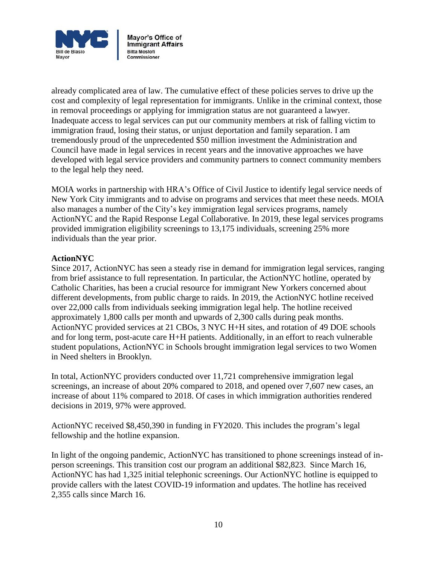

already complicated area of law. The cumulative effect of these policies serves to drive up the cost and complexity of legal representation for immigrants. Unlike in the criminal context, those in removal proceedings or applying for immigration status are not guaranteed a lawyer. Inadequate access to legal services can put our community members at risk of falling victim to immigration fraud, losing their status, or unjust deportation and family separation. I am tremendously proud of the unprecedented \$50 million investment the Administration and Council have made in legal services in recent years and the innovative approaches we have developed with legal service providers and community partners to connect community members to the legal help they need.

MOIA works in partnership with HRA's Office of Civil Justice to identify legal service needs of New York City immigrants and to advise on programs and services that meet these needs. MOIA also manages a number of the City's key immigration legal services programs, namely ActionNYC and the Rapid Response Legal Collaborative. In 2019, these legal services programs provided immigration eligibility screenings to 13,175 individuals, screening 25% more individuals than the year prior.

### **ActionNYC**

Since 2017, ActionNYC has seen a steady rise in demand for immigration legal services, ranging from brief assistance to full representation. In particular, the ActionNYC hotline, operated by Catholic Charities, has been a crucial resource for immigrant New Yorkers concerned about different developments, from public charge to raids. In 2019, the ActionNYC hotline received over 22,000 calls from individuals seeking immigration legal help. The hotline received approximately 1,800 calls per month and upwards of 2,300 calls during peak months. ActionNYC provided services at 21 CBOs, 3 NYC H+H sites, and rotation of 49 DOE schools and for long term, post-acute care H+H patients. Additionally, in an effort to reach vulnerable student populations, ActionNYC in Schools brought immigration legal services to two Women in Need shelters in Brooklyn.

In total, ActionNYC providers conducted over 11,721 comprehensive immigration legal screenings, an increase of about 20% compared to 2018, and opened over 7,607 new cases, an increase of about 11% compared to 2018. Of cases in which immigration authorities rendered decisions in 2019, 97% were approved.

ActionNYC received \$8,450,390 in funding in FY2020. This includes the program's legal fellowship and the hotline expansion.

In light of the ongoing pandemic, ActionNYC has transitioned to phone screenings instead of inperson screenings. This transition cost our program an additional \$82,823. Since March 16, ActionNYC has had 1,325 initial telephonic screenings. Our ActionNYC hotline is equipped to provide callers with the latest COVID-19 information and updates. The hotline has received 2,355 calls since March 16.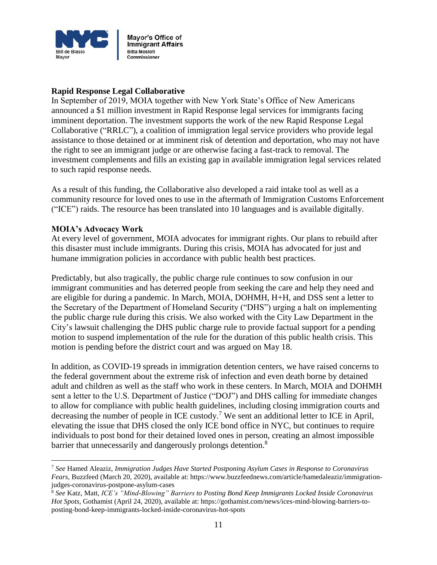

# **Rapid Response Legal Collaborative**

In September of 2019, MOIA together with New York State's Office of New Americans announced a \$1 million investment in Rapid Response legal services for immigrants facing imminent deportation. The investment supports the work of the new Rapid Response Legal Collaborative ("RRLC"), a coalition of immigration legal service providers who provide legal assistance to those detained or at imminent risk of detention and deportation, who may not have the right to see an immigrant judge or are otherwise facing a fast-track to removal. The investment complements and fills an existing gap in available immigration legal services related to such rapid response needs.

As a result of this funding, the Collaborative also developed a raid intake tool as well as a community resource for loved ones to use in the aftermath of Immigration Customs Enforcement ("ICE") raids. The resource has been translated into 10 languages and is available digitally.

### **MOIA's Advocacy Work**

l

At every level of government, MOIA advocates for immigrant rights. Our plans to rebuild after this disaster must include immigrants. During this crisis, MOIA has advocated for just and humane immigration policies in accordance with public health best practices.

Predictably, but also tragically, the public charge rule continues to sow confusion in our immigrant communities and has deterred people from seeking the care and help they need and are eligible for during a pandemic. In March, MOIA, DOHMH, H+H, and DSS sent a letter to the Secretary of the Department of Homeland Security ("DHS") urging a halt on implementing the public charge rule during this crisis. We also worked with the City Law Department in the City's lawsuit challenging the DHS public charge rule to provide factual support for a pending motion to suspend implementation of the rule for the duration of this public health crisis. This motion is pending before the district court and was argued on May 18.

In addition, as COVID-19 spreads in immigration detention centers, we have raised concerns to the federal government about the extreme risk of infection and even death borne by detained adult and children as well as the staff who work in these centers. In March, MOIA and DOHMH sent a letter to the U.S. Department of Justice ("DOJ") and DHS calling for immediate changes to allow for compliance with public health guidelines, including closing immigration courts and decreasing the number of people in ICE custody.<sup>7</sup> We sent an additional letter to ICE in April, elevating the issue that DHS closed the only ICE bond office in NYC, but continues to require individuals to post bond for their detained loved ones in person, creating an almost impossible barrier that unnecessarily and dangerously prolongs detention.<sup>8</sup>

<sup>7</sup> *See* Hamed Aleaziz, *Immigration Judges Have Started Postponing Asylum Cases in Response to Coronavirus Fears*, Buzzfeed (March 20, 2020), available at: https://www.buzzfeednews.com/article/hamedaleaziz/immigrationjudges-coronavirus-postpone-asylum-cases

<sup>8</sup> *See* Katz, Matt, *ICE's "Mind-Blowing" Barriers to Posting Bond Keep Immigrants Locked Inside Coronavirus Hot Spots*, Gothamist (April 24, 2020), available at: https://gothamist.com/news/ices-mind-blowing-barriers-toposting-bond-keep-immigrants-locked-inside-coronavirus-hot-spots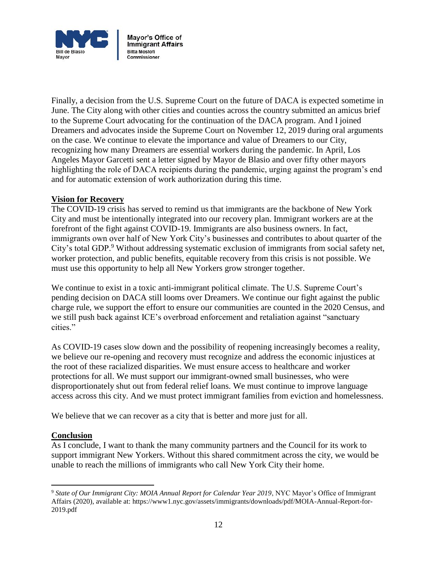

Finally, a decision from the U.S. Supreme Court on the future of DACA is expected sometime in June. The City along with other cities and counties across the country submitted an amicus brief to the Supreme Court advocating for the continuation of the DACA program. And I joined Dreamers and advocates inside the Supreme Court on November 12, 2019 during oral arguments on the case. We continue to elevate the importance and value of Dreamers to our City, recognizing how many Dreamers are essential workers during the pandemic. In April, Los Angeles Mayor Garcetti sent a letter signed by Mayor de Blasio and over fifty other mayors highlighting the role of DACA recipients during the pandemic, urging against the program's end and for automatic extension of work authorization during this time.

# **Vision for Recovery**

The COVID-19 crisis has served to remind us that immigrants are the backbone of New York City and must be intentionally integrated into our recovery plan. Immigrant workers are at the forefront of the fight against COVID-19. Immigrants are also business owners. In fact, immigrants own over half of New York City's businesses and contributes to about quarter of the City's total GDP.<sup>9</sup> Without addressing systematic exclusion of immigrants from social safety net, worker protection, and public benefits, equitable recovery from this crisis is not possible. We must use this opportunity to help all New Yorkers grow stronger together.

We continue to exist in a toxic anti-immigrant political climate. The U.S. Supreme Court's pending decision on DACA still looms over Dreamers. We continue our fight against the public charge rule, we support the effort to ensure our communities are counted in the 2020 Census, and we still push back against ICE's overbroad enforcement and retaliation against "sanctuary cities."

As COVID-19 cases slow down and the possibility of reopening increasingly becomes a reality, we believe our re-opening and recovery must recognize and address the economic injustices at the root of these racialized disparities. We must ensure access to healthcare and worker protections for all. We must support our immigrant-owned small businesses, who were disproportionately shut out from federal relief loans. We must continue to improve language access across this city. And we must protect immigrant families from eviction and homelessness.

We believe that we can recover as a city that is better and more just for all.

# **Conclusion**

 $\overline{\phantom{a}}$ 

As I conclude, I want to thank the many community partners and the Council for its work to support immigrant New Yorkers. Without this shared commitment across the city, we would be unable to reach the millions of immigrants who call New York City their home.

<sup>9</sup> *State of Our Immigrant City: MOIA Annual Report for Calendar Year 2019*, NYC Mayor's Office of Immigrant Affairs (2020), available at: https://www1.nyc.gov/assets/immigrants/downloads/pdf/MOIA-Annual-Report-for-2019.pdf